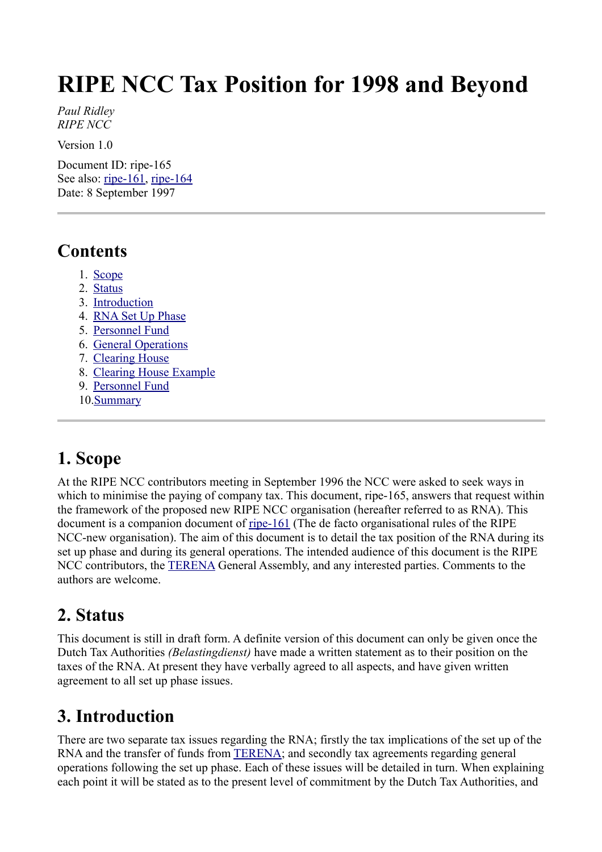# **RIPE NCC Tax Position for 1998 and Beyond**

*Paul Ridley RIPE NCC* 

Version 1.0

Document ID: ripe-165 See also: [ripe-161,](http://www.ripe.net/ripe/docs/ripe-161.html) [ripe-164](http://www.ripe.net/ripe/docs/ripe-164.html) Date: 8 September 1997

#### **Contents**

- 1. [Scope](#page-0-2)
- 2. [Status](#page-0-1)
- 3. [Introduction](#page-0-0)
- 4. [RNA Set Up Phase](#page-1-2)
- 5. [Personnel Fund](#page-1-1)
- 6. [General Operations](#page-1-0)
- 7. [Clearing House](#page-2-1)
- 8. [Clearing House Example](#page-2-0)
- 9. [Personnel Fund](#page-4-1)
- 10[.Summary](#page-4-0)

# <span id="page-0-2"></span>**1. Scope**

At the RIPE NCC contributors meeting in September 1996 the NCC were asked to seek ways in which to minimise the paying of company tax. This document, ripe-165, answers that request within the framework of the proposed new RIPE NCC organisation (hereafter referred to as RNA). This document is a companion document of <u>ripe-161</u> (The de facto organisational rules of the RIPE NCC-new organisation). The aim of this document is to detail the tax position of the RNA during its set up phase and during its general operations. The intended audience of this document is the RIPE NCC contributors, the **TERENA** General Assembly, and any interested parties. Comments to the authors are welcome.

### <span id="page-0-1"></span>**2. Status**

This document is still in draft form. A definite version of this document can only be given once the Dutch Tax Authorities *(Belastingdienst)* have made a written statement as to their position on the taxes of the RNA. At present they have verbally agreed to all aspects, and have given written agreement to all set up phase issues.

# <span id="page-0-0"></span>**3. Introduction**

There are two separate tax issues regarding the RNA; firstly the tax implications of the set up of the RNA and the transfer of funds from [TERENA;](http://www.terena.nl/) and secondly tax agreements regarding general operations following the set up phase. Each of these issues will be detailed in turn. When explaining each point it will be stated as to the present level of commitment by the Dutch Tax Authorities, and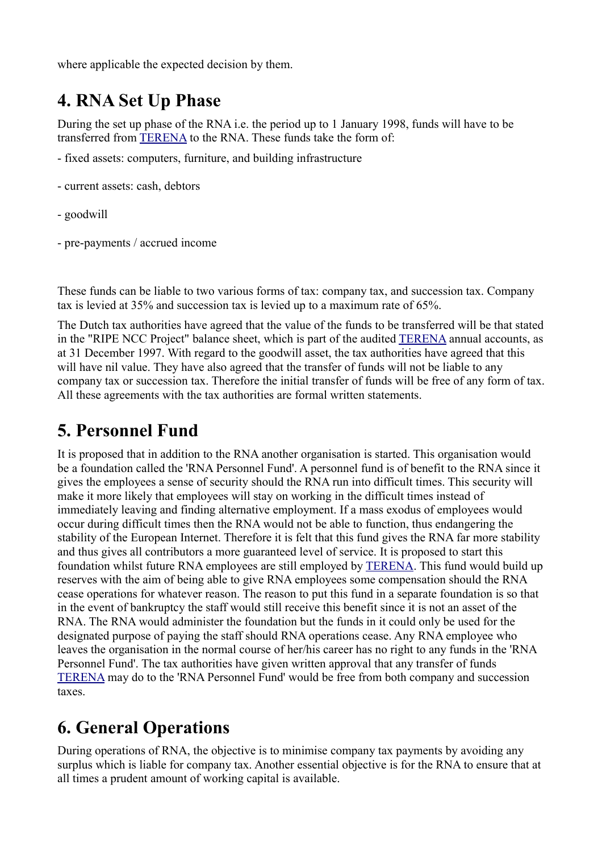<span id="page-1-2"></span>where applicable the expected decision by them.

### **4. RNA Set Up Phase**

During the set up phase of the RNA i.e. the period up to 1 January 1998, funds will have to be transferred from [TERENA](http://www.terena.nl/) to the RNA. These funds take the form of:

- fixed assets: computers, furniture, and building infrastructure
- current assets: cash, debtors
- goodwill
- pre-payments / accrued income

These funds can be liable to two various forms of tax: company tax, and succession tax. Company tax is levied at 35% and succession tax is levied up to a maximum rate of 65%.

The Dutch tax authorities have agreed that the value of the funds to be transferred will be that stated in the "RIPE NCC Project" balance sheet, which is part of the audited [TERENA](http://www.terena.nl/) annual accounts, as at 31 December 1997. With regard to the goodwill asset, the tax authorities have agreed that this will have nil value. They have also agreed that the transfer of funds will not be liable to any company tax or succession tax. Therefore the initial transfer of funds will be free of any form of tax. All these agreements with the tax authorities are formal written statements.

#### <span id="page-1-1"></span>**5. Personnel Fund**

It is proposed that in addition to the RNA another organisation is started. This organisation would be a foundation called the 'RNA Personnel Fund'. A personnel fund is of benefit to the RNA since it gives the employees a sense of security should the RNA run into difficult times. This security will make it more likely that employees will stay on working in the difficult times instead of immediately leaving and finding alternative employment. If a mass exodus of employees would occur during difficult times then the RNA would not be able to function, thus endangering the stability of the European Internet. Therefore it is felt that this fund gives the RNA far more stability and thus gives all contributors a more guaranteed level of service. It is proposed to start this foundation whilst future RNA employees are still employed by [TERENA.](http://www.terena.nl/) This fund would build up reserves with the aim of being able to give RNA employees some compensation should the RNA cease operations for whatever reason. The reason to put this fund in a separate foundation is so that in the event of bankruptcy the staff would still receive this benefit since it is not an asset of the RNA. The RNA would administer the foundation but the funds in it could only be used for the designated purpose of paying the staff should RNA operations cease. Any RNA employee who leaves the organisation in the normal course of her/his career has no right to any funds in the 'RNA Personnel Fund'. The tax authorities have given written approval that any transfer of funds [TERENA](http://www.terena.nl/) may do to the 'RNA Personnel Fund' would be free from both company and succession taxes.

### <span id="page-1-0"></span>**6. General Operations**

During operations of RNA, the objective is to minimise company tax payments by avoiding any surplus which is liable for company tax. Another essential objective is for the RNA to ensure that at all times a prudent amount of working capital is available.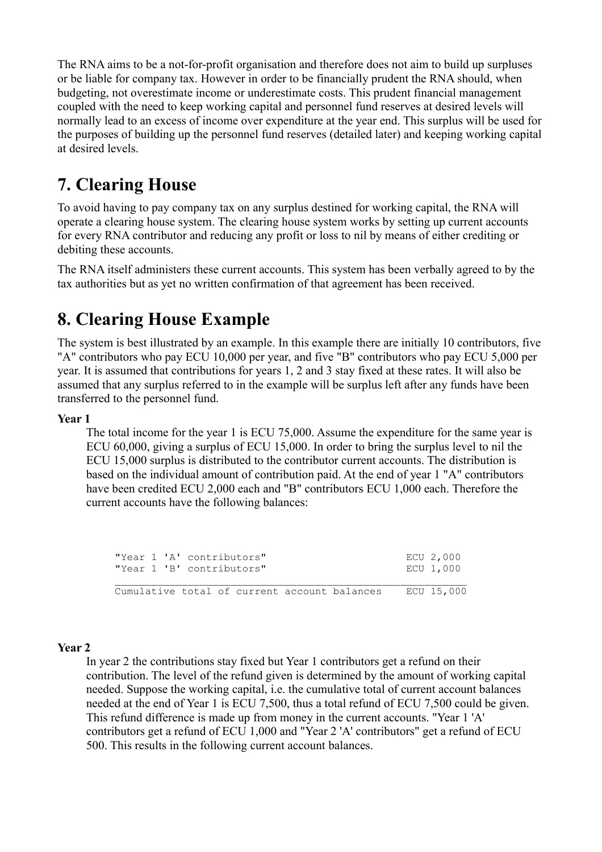The RNA aims to be a not-for-profit organisation and therefore does not aim to build up surpluses or be liable for company tax. However in order to be financially prudent the RNA should, when budgeting, not overestimate income or underestimate costs. This prudent financial management coupled with the need to keep working capital and personnel fund reserves at desired levels will normally lead to an excess of income over expenditure at the year end. This surplus will be used for the purposes of building up the personnel fund reserves (detailed later) and keeping working capital at desired levels.

### <span id="page-2-1"></span>**7. Clearing House**

To avoid having to pay company tax on any surplus destined for working capital, the RNA will operate a clearing house system. The clearing house system works by setting up current accounts for every RNA contributor and reducing any profit or loss to nil by means of either crediting or debiting these accounts.

The RNA itself administers these current accounts. This system has been verbally agreed to by the tax authorities but as yet no written confirmation of that agreement has been received.

### **8. Clearing House Example**

The system is best illustrated by an example. In this example there are initially 10 contributors, five "A" contributors who pay ECU 10,000 per year, and five "B" contributors who pay ECU 5,000 per year. It is assumed that contributions for years 1, 2 and 3 stay fixed at these rates. It will also be assumed that any surplus referred to in the example will be surplus left after any funds have been transferred to the personnel fund.

#### **Year 1**

<span id="page-2-0"></span>The total income for the year 1 is ECU 75,000. Assume the expenditure for the same year is ECU 60,000, giving a surplus of ECU 15,000. In order to bring the surplus level to nil the ECU 15,000 surplus is distributed to the contributor current accounts. The distribution is based on the individual amount of contribution paid. At the end of year 1 "A" contributors have been credited ECU 2,000 each and "B" contributors ECU 1,000 each. Therefore the current accounts have the following balances:

| "Year 1 'A' contributors"<br>"Year 1 'B' contributors" | ECU 2,000<br>ECU 1,000 |
|--------------------------------------------------------|------------------------|
| Cumulative total of current account balances           | ECU 15,000             |

#### **Year 2**

In year 2 the contributions stay fixed but Year 1 contributors get a refund on their contribution. The level of the refund given is determined by the amount of working capital needed. Suppose the working capital, i.e. the cumulative total of current account balances needed at the end of Year 1 is ECU 7,500, thus a total refund of ECU 7,500 could be given. This refund difference is made up from money in the current accounts. "Year 1 'A' contributors get a refund of ECU 1,000 and "Year 2 'A' contributors" get a refund of ECU 500. This results in the following current account balances.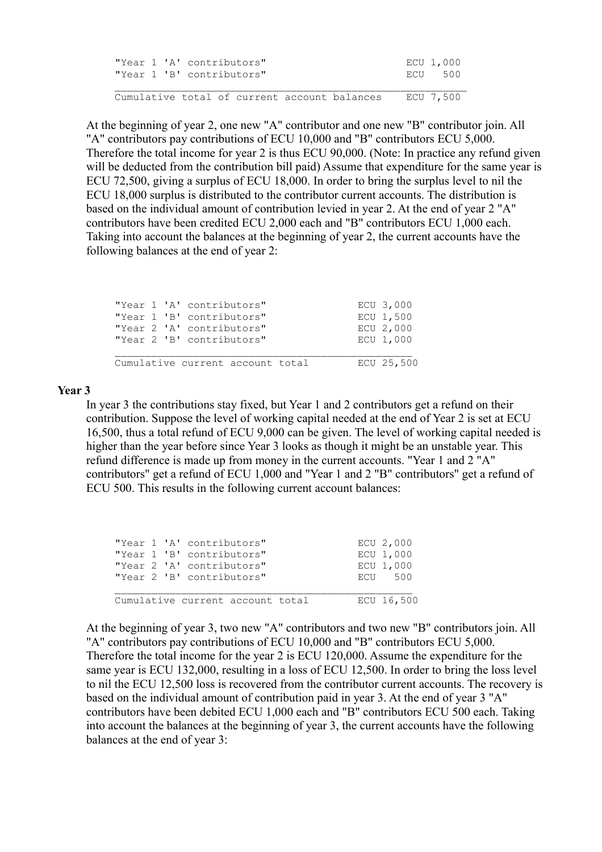| "Year 1 'A' contributors"                              | ECU 1,000 |
|--------------------------------------------------------|-----------|
| "Year 1 'B' contributors"                              | ECU 500   |
|                                                        |           |
| Cumulative total of current account balances ECU 7,500 |           |

At the beginning of year 2, one new "A" contributor and one new "B" contributor join. All "A" contributors pay contributions of ECU 10,000 and "B" contributors ECU 5,000. Therefore the total income for year 2 is thus ECU 90,000. (Note: In practice any refund given will be deducted from the contribution bill paid) Assume that expenditure for the same year is ECU 72,500, giving a surplus of ECU 18,000. In order to bring the surplus level to nil the ECU 18,000 surplus is distributed to the contributor current accounts. The distribution is based on the individual amount of contribution levied in year 2. At the end of year 2 "A" contributors have been credited ECU 2,000 each and "B" contributors ECU 1,000 each. Taking into account the balances at the beginning of year 2, the current accounts have the following balances at the end of year 2:

|  | "Year 1 'A' contributors"        | ECU 3,000  |
|--|----------------------------------|------------|
|  | "Year 1 'B' contributors"        | ECU 1,500  |
|  | "Year 2 'A' contributors"        | ECU 2,000  |
|  | "Year 2 'B' contributors"        | ECU 1,000  |
|  | Cumulative current account total | ECU 25,500 |

#### **Year 3**

In year 3 the contributions stay fixed, but Year 1 and 2 contributors get a refund on their contribution. Suppose the level of working capital needed at the end of Year 2 is set at ECU 16,500, thus a total refund of ECU 9,000 can be given. The level of working capital needed is higher than the year before since Year 3 looks as though it might be an unstable year. This refund difference is made up from money in the current accounts. "Year 1 and 2 "A" contributors" get a refund of ECU 1,000 and "Year 1 and 2 "B" contributors" get a refund of ECU 500. This results in the following current account balances:

|  | "Year 1 'A' contributors"        | ECU 2,000  |
|--|----------------------------------|------------|
|  | "Year 1 'B' contributors"        | ECU 1,000  |
|  | "Year 2 'A' contributors"        | ECU 1,000  |
|  | "Year 2 'B' contributors"        | ECU 500    |
|  | Cumulative current account total | ECU 16,500 |

At the beginning of year 3, two new "A" contributors and two new "B" contributors join. All "A" contributors pay contributions of ECU 10,000 and "B" contributors ECU 5,000. Therefore the total income for the year 2 is ECU 120,000. Assume the expenditure for the same year is ECU 132,000, resulting in a loss of ECU 12,500. In order to bring the loss level to nil the ECU 12,500 loss is recovered from the contributor current accounts. The recovery is based on the individual amount of contribution paid in year 3. At the end of year 3 "A" contributors have been debited ECU 1,000 each and "B" contributors ECU 500 each. Taking into account the balances at the beginning of year 3, the current accounts have the following balances at the end of year 3: